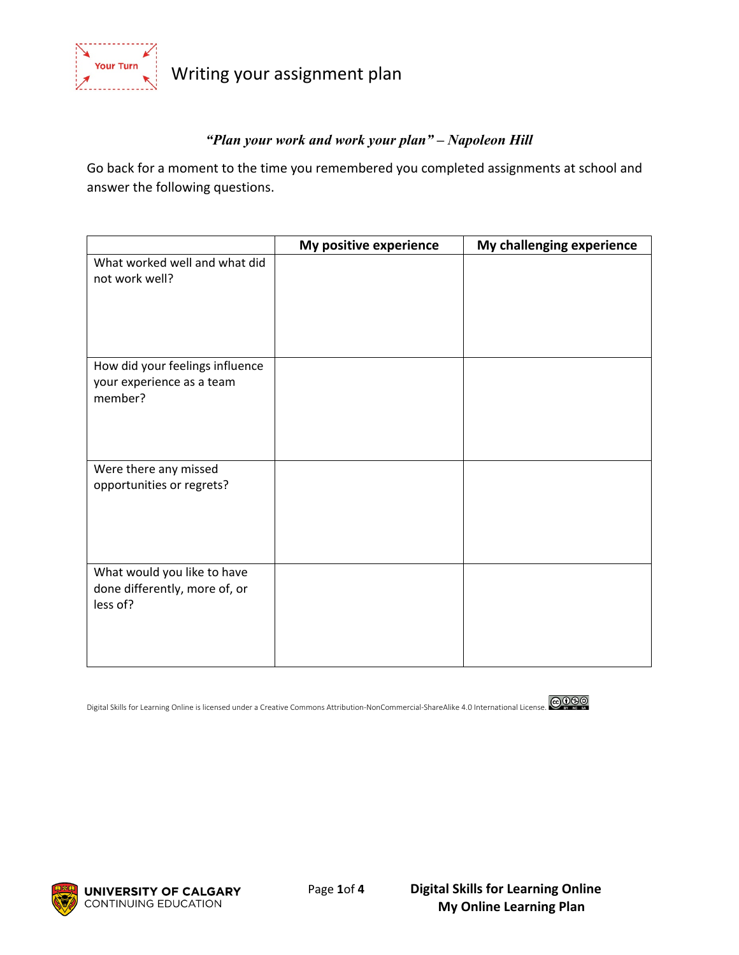

Writing your assignment plan

# *"Plan your work and work your plan" – Napoleon Hill*

Go back for a moment to the time you remembered you completed assignments at school and answer the following questions.

|                                                                          | My positive experience | My challenging experience |
|--------------------------------------------------------------------------|------------------------|---------------------------|
| What worked well and what did<br>not work well?                          |                        |                           |
| How did your feelings influence<br>your experience as a team<br>member?  |                        |                           |
| Were there any missed<br>opportunities or regrets?                       |                        |                           |
| What would you like to have<br>done differently, more of, or<br>less of? |                        |                           |

Digital Skills for Learning Online is licensed under a Creative Commons Attribution-NonCommercial-ShareAlike 4.0 International License.



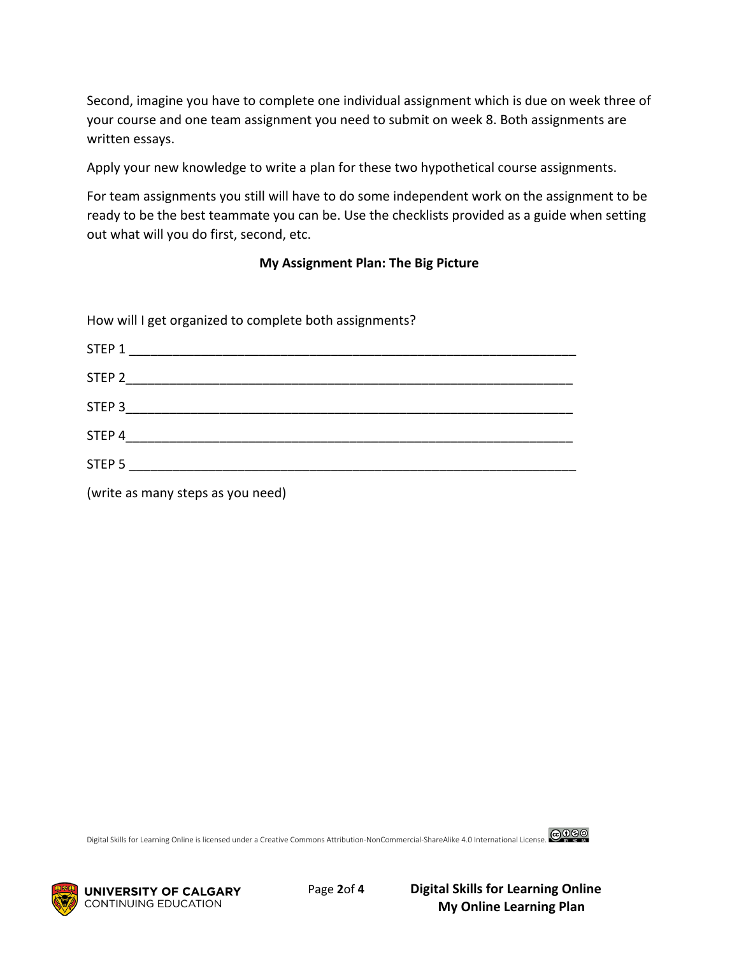Second, imagine you have to complete one individual assignment which is due on week three of your course and one team assignment you need to submit on week 8. Both assignments are written essays.

Apply your new knowledge to write a plan for these two hypothetical course assignments.

For team assignments you still will have to do some independent work on the assignment to be ready to be the best teammate you can be. Use the checklists provided as a guide when setting out what will you do first, second, etc.

#### **My Assignment Plan: The Big Picture**

How will I get organized to complete both assignments?

| STEP 1            |  |
|-------------------|--|
| STEP <sub>2</sub> |  |
| STEP 3            |  |
| STEP 4            |  |
| STEP <sub>5</sub> |  |

(write as many steps as you need)

Digital Skills for Learning Online is licensed under a Creative Commons Attribution-NonCommercial-ShareAlike 4.0 International License.





 Page **2**of **4 Digital Skills for Learning Online My Online Learning Plan**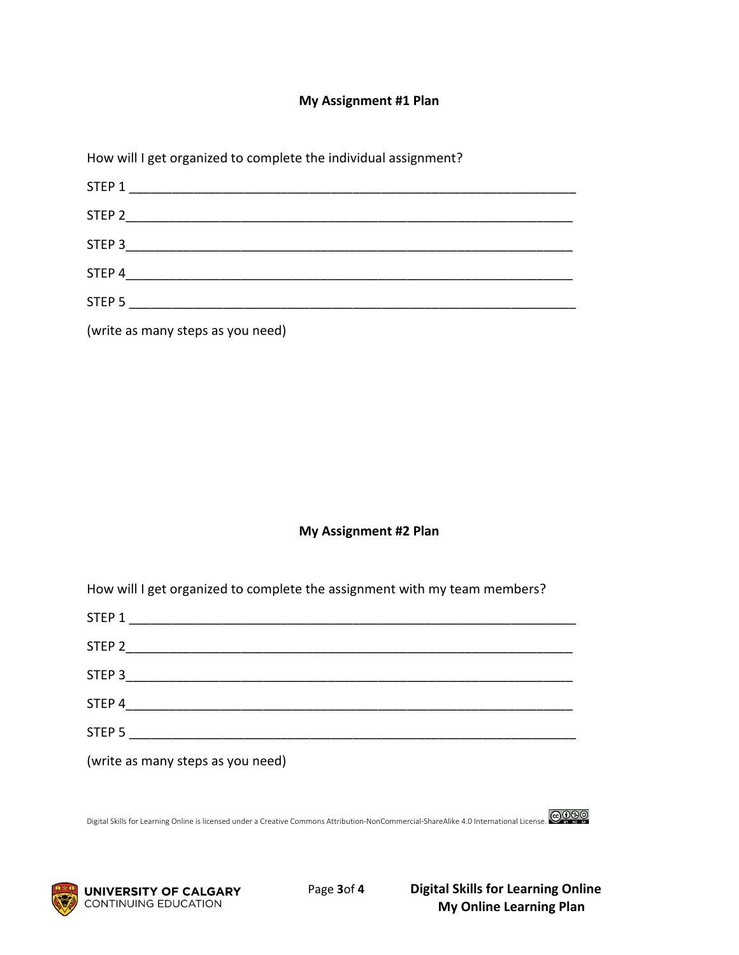### **My Assignment #1 Plan**

How will I get organized to complete the individual assignment?

| STEP 1            |  |  |
|-------------------|--|--|
| STEP 2            |  |  |
| STEP 3            |  |  |
| STEP 4            |  |  |
| STEP <sub>5</sub> |  |  |
|                   |  |  |

(write as many steps as you need)

#### **My Assignment #2 Plan**

How will I get organized to complete the assignment with my team members?

| STEP 1                            |  |
|-----------------------------------|--|
| STEP 2                            |  |
| STEP 3                            |  |
| STEP 4                            |  |
| STEP 5                            |  |
| (write as many steps as you need) |  |

Digital Skills for Learning Online is licensed under a Creative Commons Attribution-NonCommercial-ShareAlike 4.0 International License. @099